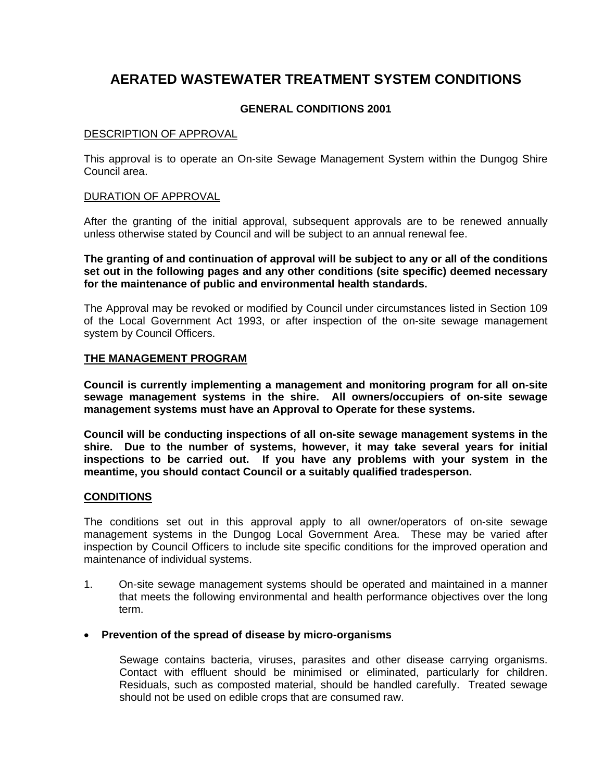# **AERATED WASTEWATER TREATMENT SYSTEM CONDITIONS**

# **GENERAL CONDITIONS 2001**

## DESCRIPTION OF APPROVAL

This approval is to operate an On-site Sewage Management System within the Dungog Shire Council area.

# DURATION OF APPROVAL

After the granting of the initial approval, subsequent approvals are to be renewed annually unless otherwise stated by Council and will be subject to an annual renewal fee.

**The granting of and continuation of approval will be subject to any or all of the conditions set out in the following pages and any other conditions (site specific) deemed necessary for the maintenance of public and environmental health standards.** 

The Approval may be revoked or modified by Council under circumstances listed in Section 109 of the Local Government Act 1993, or after inspection of the on-site sewage management system by Council Officers.

# **THE MANAGEMENT PROGRAM**

**Council is currently implementing a management and monitoring program for all on-site sewage management systems in the shire. All owners/occupiers of on-site sewage management systems must have an Approval to Operate for these systems.** 

**Council will be conducting inspections of all on-site sewage management systems in the shire. Due to the number of systems, however, it may take several years for initial inspections to be carried out. If you have any problems with your system in the meantime, you should contact Council or a suitably qualified tradesperson.** 

#### **CONDITIONS**

The conditions set out in this approval apply to all owner/operators of on-site sewage management systems in the Dungog Local Government Area. These may be varied after inspection by Council Officers to include site specific conditions for the improved operation and maintenance of individual systems.

1. On-site sewage management systems should be operated and maintained in a manner that meets the following environmental and health performance objectives over the long term.

#### • **Prevention of the spread of disease by micro-organisms**

Sewage contains bacteria, viruses, parasites and other disease carrying organisms. Contact with effluent should be minimised or eliminated, particularly for children. Residuals, such as composted material, should be handled carefully. Treated sewage should not be used on edible crops that are consumed raw.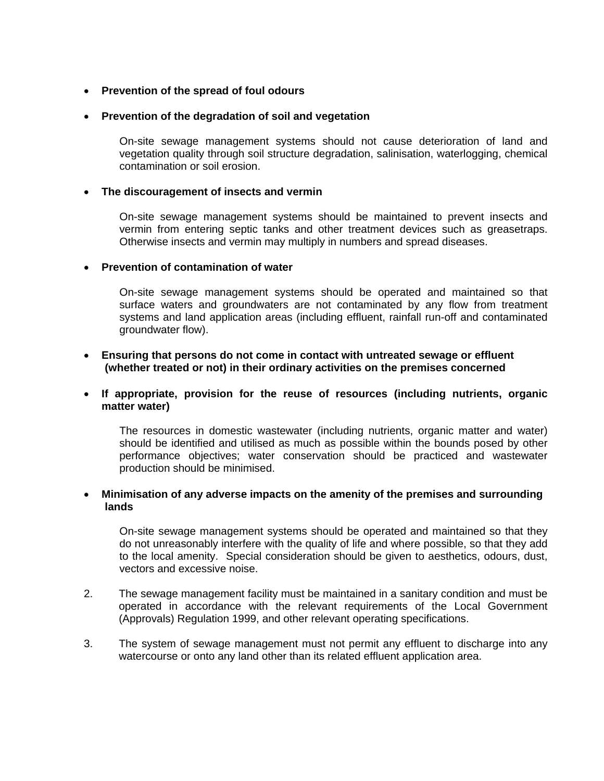# • **Prevention of the spread of foul odours**

## • **Prevention of the degradation of soil and vegetation**

On-site sewage management systems should not cause deterioration of land and vegetation quality through soil structure degradation, salinisation, waterlogging, chemical contamination or soil erosion.

# • **The discouragement of insects and vermin**

On-site sewage management systems should be maintained to prevent insects and vermin from entering septic tanks and other treatment devices such as greasetraps. Otherwise insects and vermin may multiply in numbers and spread diseases.

#### • **Prevention of contamination of water**

On-site sewage management systems should be operated and maintained so that surface waters and groundwaters are not contaminated by any flow from treatment systems and land application areas (including effluent, rainfall run-off and contaminated groundwater flow).

# • **Ensuring that persons do not come in contact with untreated sewage or effluent (whether treated or not) in their ordinary activities on the premises concerned**

# • **If appropriate, provision for the reuse of resources (including nutrients, organic matter water)**

The resources in domestic wastewater (including nutrients, organic matter and water) should be identified and utilised as much as possible within the bounds posed by other performance objectives; water conservation should be practiced and wastewater production should be minimised.

# • **Minimisation of any adverse impacts on the amenity of the premises and surrounding lands**

On-site sewage management systems should be operated and maintained so that they do not unreasonably interfere with the quality of life and where possible, so that they add to the local amenity. Special consideration should be given to aesthetics, odours, dust, vectors and excessive noise.

- 2. The sewage management facility must be maintained in a sanitary condition and must be operated in accordance with the relevant requirements of the Local Government (Approvals) Regulation 1999, and other relevant operating specifications.
- 3. The system of sewage management must not permit any effluent to discharge into any watercourse or onto any land other than its related effluent application area.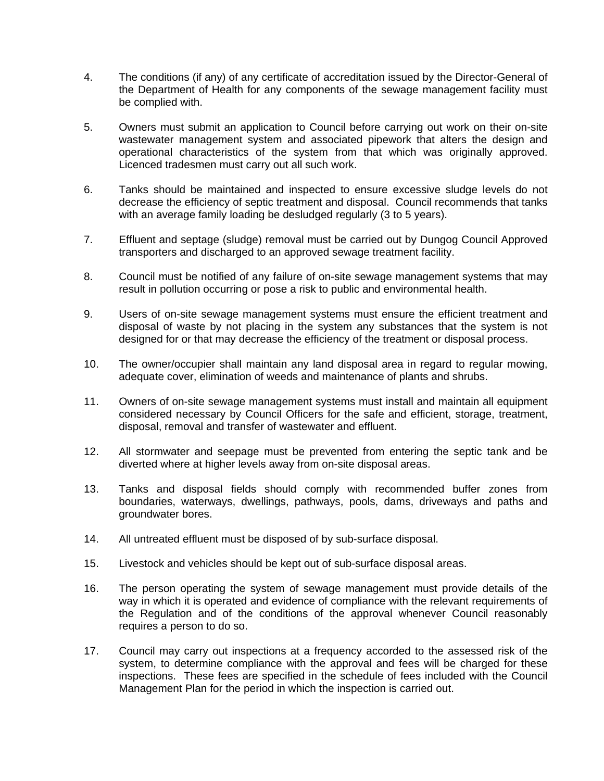- 4. The conditions (if any) of any certificate of accreditation issued by the Director-General of the Department of Health for any components of the sewage management facility must be complied with.
- 5. Owners must submit an application to Council before carrying out work on their on-site wastewater management system and associated pipework that alters the design and operational characteristics of the system from that which was originally approved. Licenced tradesmen must carry out all such work.
- 6. Tanks should be maintained and inspected to ensure excessive sludge levels do not decrease the efficiency of septic treatment and disposal. Council recommends that tanks with an average family loading be desludged regularly (3 to 5 years).
- 7. Effluent and septage (sludge) removal must be carried out by Dungog Council Approved transporters and discharged to an approved sewage treatment facility.
- 8. Council must be notified of any failure of on-site sewage management systems that may result in pollution occurring or pose a risk to public and environmental health.
- 9. Users of on-site sewage management systems must ensure the efficient treatment and disposal of waste by not placing in the system any substances that the system is not designed for or that may decrease the efficiency of the treatment or disposal process.
- 10. The owner/occupier shall maintain any land disposal area in regard to regular mowing, adequate cover, elimination of weeds and maintenance of plants and shrubs.
- 11. Owners of on-site sewage management systems must install and maintain all equipment considered necessary by Council Officers for the safe and efficient, storage, treatment, disposal, removal and transfer of wastewater and effluent.
- 12. All stormwater and seepage must be prevented from entering the septic tank and be diverted where at higher levels away from on-site disposal areas.
- 13. Tanks and disposal fields should comply with recommended buffer zones from boundaries, waterways, dwellings, pathways, pools, dams, driveways and paths and groundwater bores.
- 14. All untreated effluent must be disposed of by sub-surface disposal.
- 15. Livestock and vehicles should be kept out of sub-surface disposal areas.
- 16. The person operating the system of sewage management must provide details of the way in which it is operated and evidence of compliance with the relevant requirements of the Regulation and of the conditions of the approval whenever Council reasonably requires a person to do so.
- 17. Council may carry out inspections at a frequency accorded to the assessed risk of the system, to determine compliance with the approval and fees will be charged for these inspections. These fees are specified in the schedule of fees included with the Council Management Plan for the period in which the inspection is carried out.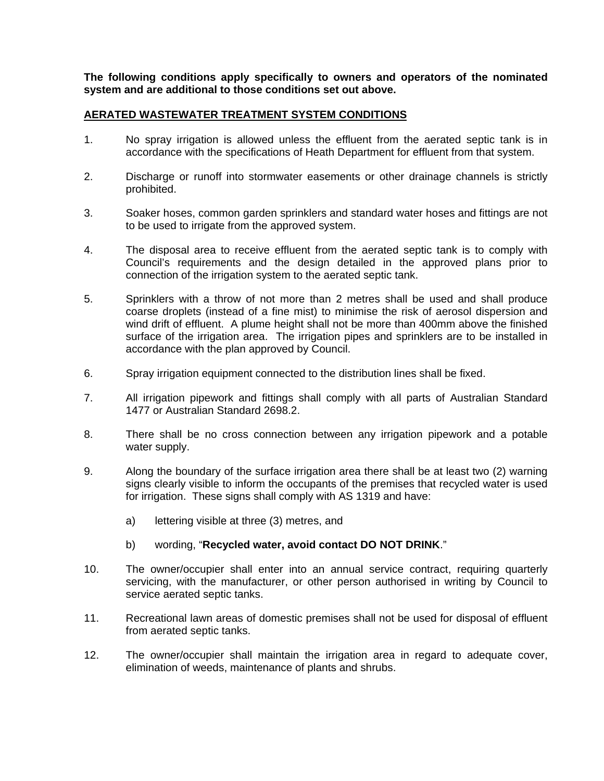**The following conditions apply specifically to owners and operators of the nominated system and are additional to those conditions set out above.** 

# **AERATED WASTEWATER TREATMENT SYSTEM CONDITIONS**

- 1. No spray irrigation is allowed unless the effluent from the aerated septic tank is in accordance with the specifications of Heath Department for effluent from that system.
- 2. Discharge or runoff into stormwater easements or other drainage channels is strictly prohibited.
- 3. Soaker hoses, common garden sprinklers and standard water hoses and fittings are not to be used to irrigate from the approved system.
- 4. The disposal area to receive effluent from the aerated septic tank is to comply with Council's requirements and the design detailed in the approved plans prior to connection of the irrigation system to the aerated septic tank.
- 5. Sprinklers with a throw of not more than 2 metres shall be used and shall produce coarse droplets (instead of a fine mist) to minimise the risk of aerosol dispersion and wind drift of effluent. A plume height shall not be more than 400mm above the finished surface of the irrigation area. The irrigation pipes and sprinklers are to be installed in accordance with the plan approved by Council.
- 6. Spray irrigation equipment connected to the distribution lines shall be fixed.
- 7. All irrigation pipework and fittings shall comply with all parts of Australian Standard 1477 or Australian Standard 2698.2.
- 8. There shall be no cross connection between any irrigation pipework and a potable water supply.
- 9. Along the boundary of the surface irrigation area there shall be at least two (2) warning signs clearly visible to inform the occupants of the premises that recycled water is used for irrigation. These signs shall comply with AS 1319 and have:
	- a) lettering visible at three (3) metres, and
	- b) wording, "**Recycled water, avoid contact DO NOT DRINK**."
- 10. The owner/occupier shall enter into an annual service contract, requiring quarterly servicing, with the manufacturer, or other person authorised in writing by Council to service aerated septic tanks.
- 11. Recreational lawn areas of domestic premises shall not be used for disposal of effluent from aerated septic tanks.
- 12. The owner/occupier shall maintain the irrigation area in regard to adequate cover, elimination of weeds, maintenance of plants and shrubs.